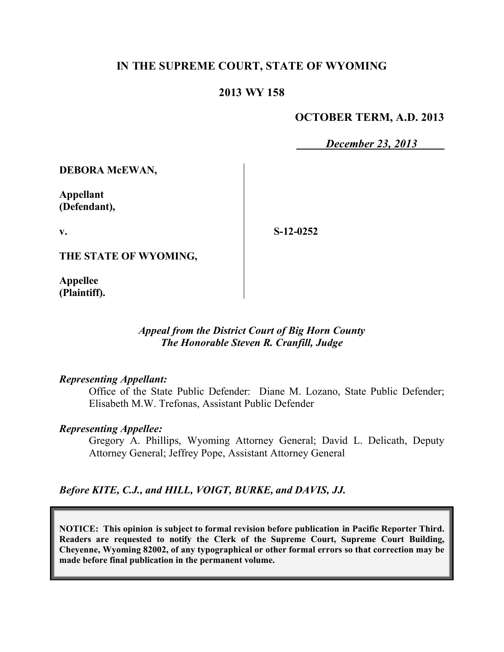# **IN THE SUPREME COURT, STATE OF WYOMING**

### **2013 WY 158**

#### **OCTOBER TERM, A.D. 2013**

*December 23, 2013*

**DEBORA McEWAN,**

**Appellant (Defendant),**

**v.**

**S-12-0252**

**THE STATE OF WYOMING,**

**Appellee (Plaintiff).**

#### *Appeal from the District Court of Big Horn County The Honorable Steven R. Cranfill, Judge*

#### *Representing Appellant:*

Office of the State Public Defender: Diane M. Lozano, State Public Defender; Elisabeth M.W. Trefonas, Assistant Public Defender

#### *Representing Appellee:*

Gregory A. Phillips, Wyoming Attorney General; David L. Delicath, Deputy Attorney General; Jeffrey Pope, Assistant Attorney General

*Before KITE, C.J., and HILL, VOIGT, BURKE, and DAVIS, JJ.*

**NOTICE: This opinion is subject to formal revision before publication in Pacific Reporter Third. Readers are requested to notify the Clerk of the Supreme Court, Supreme Court Building, Cheyenne, Wyoming 82002, of any typographical or other formal errors so that correction may be made before final publication in the permanent volume.**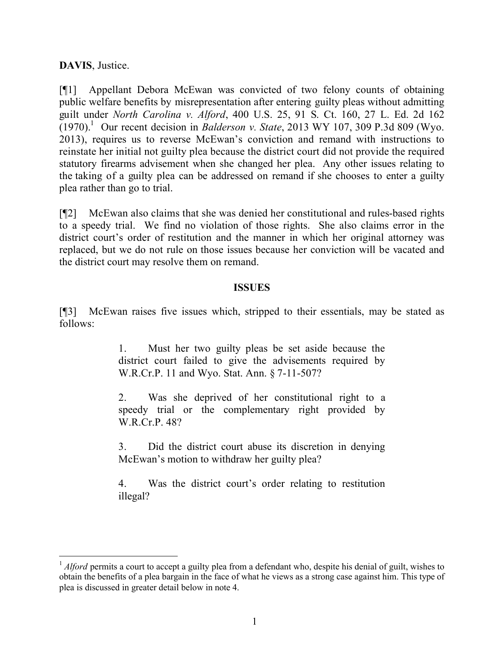# **DAVIS**, Justice.

[¶1] Appellant Debora McEwan was convicted of two felony counts of obtaining public welfare benefits by misrepresentation after entering guilty pleas without admitting guilt under *North Carolina v. Alford*, 400 U.S. 25, 91 S. Ct. 160, 27 L. Ed. 2d 162  $(1970).$ <sup>1</sup> Our recent decision in *Balderson v. State*, 2013 WY 107, 309 P.3d 809 (Wyo. 2013), requires us to reverse McEwan's conviction and remand with instructions to reinstate her initial not guilty plea because the district court did not provide the required statutory firearms advisement when she changed her plea. Any other issues relating to the taking of a guilty plea can be addressed on remand if she chooses to enter a guilty plea rather than go to trial.

[¶2] McEwan also claims that she was denied her constitutional and rules-based rights to a speedy trial. We find no violation of those rights. She also claims error in the district court's order of restitution and the manner in which her original attorney was replaced, but we do not rule on those issues because her conviction will be vacated and the district court may resolve them on remand.

#### **ISSUES**

[¶3] McEwan raises five issues which, stripped to their essentials, may be stated as follows:

> 1. Must her two guilty pleas be set aside because the district court failed to give the advisements required by W.R.Cr.P. 11 and Wyo. Stat. Ann. § 7-11-507?

> 2. Was she deprived of her constitutional right to a speedy trial or the complementary right provided by W.R.Cr.P. 48?

> 3. Did the district court abuse its discretion in denying McEwan's motion to withdraw her guilty plea?

> 4. Was the district court's order relating to restitution illegal?

<sup>&</sup>lt;sup>1</sup> *Alford* permits a court to accept a guilty plea from a defendant who, despite his denial of guilt, wishes to obtain the benefits of a plea bargain in the face of what he views as a strong case against him. This type of plea is discussed in greater detail below in note 4.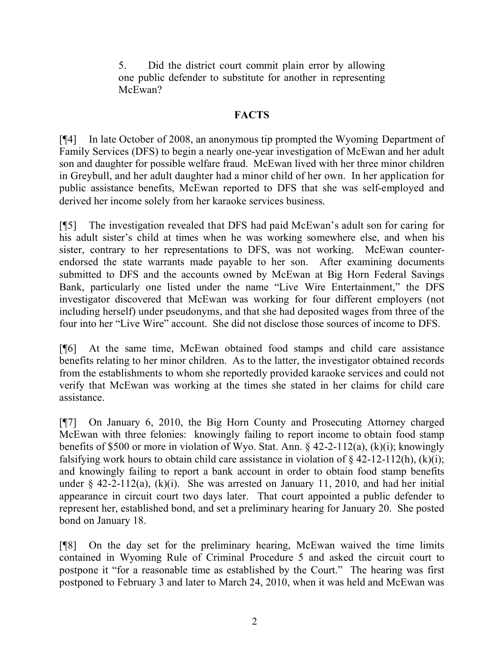5. Did the district court commit plain error by allowing one public defender to substitute for another in representing McEwan?

## **FACTS**

[¶4] In late October of 2008, an anonymous tip prompted the Wyoming Department of Family Services (DFS) to begin a nearly one-year investigation of McEwan and her adult son and daughter for possible welfare fraud. McEwan lived with her three minor children in Greybull, and her adult daughter had a minor child of her own. In her application for public assistance benefits, McEwan reported to DFS that she was self-employed and derived her income solely from her karaoke services business.

[¶5] The investigation revealed that DFS had paid McEwan's adult son for caring for his adult sister's child at times when he was working somewhere else, and when his sister, contrary to her representations to DFS, was not working. McEwan counterendorsed the state warrants made payable to her son. After examining documents submitted to DFS and the accounts owned by McEwan at Big Horn Federal Savings Bank, particularly one listed under the name "Live Wire Entertainment," the DFS investigator discovered that McEwan was working for four different employers (not including herself) under pseudonyms, and that she had deposited wages from three of the four into her "Live Wire" account. She did not disclose those sources of income to DFS.

[¶6] At the same time, McEwan obtained food stamps and child care assistance benefits relating to her minor children. As to the latter, the investigator obtained records from the establishments to whom she reportedly provided karaoke services and could not verify that McEwan was working at the times she stated in her claims for child care assistance.

[¶7] On January 6, 2010, the Big Horn County and Prosecuting Attorney charged McEwan with three felonies: knowingly failing to report income to obtain food stamp benefits of \$500 or more in violation of Wyo. Stat. Ann. § 42-2-112(a), (k)(i); knowingly falsifying work hours to obtain child care assistance in violation of  $\frac{242-12}{12(h)}$ , (k)(i); and knowingly failing to report a bank account in order to obtain food stamp benefits under  $\S$  42-2-112(a), (k)(i). She was arrested on January 11, 2010, and had her initial appearance in circuit court two days later. That court appointed a public defender to represent her, established bond, and set a preliminary hearing for January 20. She posted bond on January 18.

[¶8] On the day set for the preliminary hearing, McEwan waived the time limits contained in Wyoming Rule of Criminal Procedure 5 and asked the circuit court to postpone it "for a reasonable time as established by the Court." The hearing was first postponed to February 3 and later to March 24, 2010, when it was held and McEwan was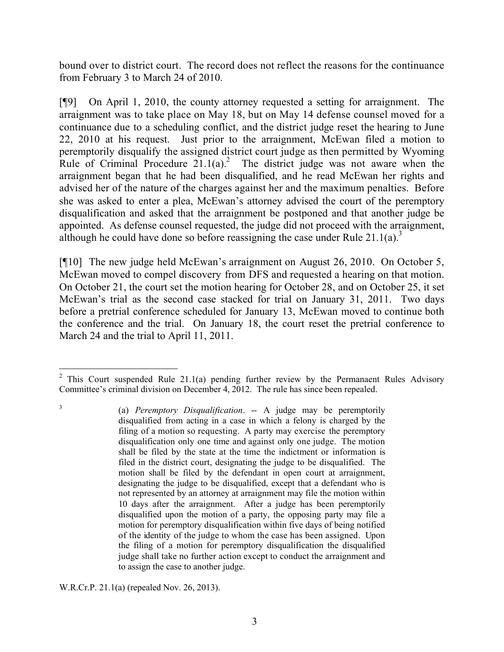bound over to district court. The record does not reflect the reasons for the continuance from February 3 to March 24 of 2010.

[¶9] On April 1, 2010, the county attorney requested a setting for arraignment. The arraignment was to take place on May 18, but on May 14 defense counsel moved for a continuance due to a scheduling conflict, and the district judge reset the hearing to June 22, 2010 at his request. Just prior to the arraignment, McEwan filed a motion to peremptorily disqualify the assigned district court judge as then permitted by Wyoming Rule of Criminal Procedure  $21.1(a)$ <sup>2</sup> The district judge was not aware when the arraignment began that he had been disqualified, and he read McEwan her rights and advised her of the nature of the charges against her and the maximum penalties. Before she was asked to enter a plea, McEwan's attorney advised the court of the peremptory disqualification and asked that the arraignment be postponed and that another judge be appointed. As defense counsel requested, the judge did not proceed with the arraignment, although he could have done so before reassigning the case under Rule 21.1(a).<sup>3</sup>

[¶10] The new judge held McEwan's arraignment on August 26, 2010. On October 5, McEwan moved to compel discovery from DFS and requested a hearing on that motion. On October 21, the court set the motion hearing for October 28, and on October 25, it set McEwan's trial as the second case stacked for trial on January 31, 2011. Two days before a pretrial conference scheduled for January 13, McEwan moved to continue both the conference and the trial. On January 18, the court reset the pretrial conference to March 24 and the trial to April 11, 2011.

W.R.Cr.P. 21.1(a) (repealed Nov. 26, 2013).

3

 <sup>2</sup> This Court suspended Rule 21.1(a) pending further review by the Permanaent Rules Advisory Committee's criminal division on December 4, 2012. The rule has since been repealed.

<sup>(</sup>a) *Peremptory Disqualification*. -- A judge may be peremptorily disqualified from acting in a case in which a felony is charged by the filing of a motion so requesting. A party may exercise the peremptory disqualification only one time and against only one judge. The motion shall be filed by the state at the time the indictment or information is filed in the district court, designating the judge to be disqualified. The motion shall be filed by the defendant in open court at arraignment, designating the judge to be disqualified, except that a defendant who is not represented by an attorney at arraignment may file the motion within 10 days after the arraignment. After a judge has been peremptorily disqualified upon the motion of a party, the opposing party may file a motion for peremptory disqualification within five days of being notified of the identity of the judge to whom the case has been assigned. Upon the filing of a motion for peremptory disqualification the disqualified judge shall take no further action except to conduct the arraignment and to assign the case to another judge.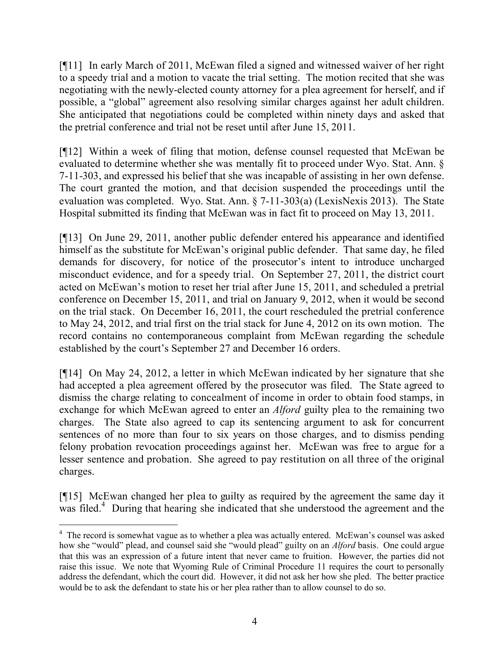[¶11] In early March of 2011, McEwan filed a signed and witnessed waiver of her right to a speedy trial and a motion to vacate the trial setting. The motion recited that she was negotiating with the newly-elected county attorney for a plea agreement for herself, and if possible, a "global" agreement also resolving similar charges against her adult children. She anticipated that negotiations could be completed within ninety days and asked that the pretrial conference and trial not be reset until after June 15, 2011.

[¶12] Within a week of filing that motion, defense counsel requested that McEwan be evaluated to determine whether she was mentally fit to proceed under Wyo. Stat. Ann. § 7-11-303, and expressed his belief that she was incapable of assisting in her own defense. The court granted the motion, and that decision suspended the proceedings until the evaluation was completed. Wyo. Stat. Ann. § 7-11-303(a) (LexisNexis 2013). The State Hospital submitted its finding that McEwan was in fact fit to proceed on May 13, 2011.

[¶13] On June 29, 2011, another public defender entered his appearance and identified himself as the substitute for McEwan's original public defender. That same day, he filed demands for discovery, for notice of the prosecutor's intent to introduce uncharged misconduct evidence, and for a speedy trial. On September 27, 2011, the district court acted on McEwan's motion to reset her trial after June 15, 2011, and scheduled a pretrial conference on December 15, 2011, and trial on January 9, 2012, when it would be second on the trial stack. On December 16, 2011, the court rescheduled the pretrial conference to May 24, 2012, and trial first on the trial stack for June 4, 2012 on its own motion. The record contains no contemporaneous complaint from McEwan regarding the schedule established by the court's September 27 and December 16 orders.

[¶14] On May 24, 2012, a letter in which McEwan indicated by her signature that she had accepted a plea agreement offered by the prosecutor was filed. The State agreed to dismiss the charge relating to concealment of income in order to obtain food stamps, in exchange for which McEwan agreed to enter an *Alford* guilty plea to the remaining two charges. The State also agreed to cap its sentencing argument to ask for concurrent sentences of no more than four to six years on those charges, and to dismiss pending felony probation revocation proceedings against her. McEwan was free to argue for a lesser sentence and probation. She agreed to pay restitution on all three of the original charges.

[¶15] McEwan changed her plea to guilty as required by the agreement the same day it was filed.<sup>4</sup> During that hearing she indicated that she understood the agreement and the

 $\overline{a}$ <sup>4</sup> The record is somewhat vague as to whether a plea was actually entered. McEwan's counsel was asked how she "would" plead, and counsel said she "would plead" guilty on an *Alford* basis. One could argue that this was an expression of a future intent that never came to fruition. However, the parties did not raise this issue. We note that Wyoming Rule of Criminal Procedure 11 requires the court to personally address the defendant, which the court did. However, it did not ask her how she pled. The better practice would be to ask the defendant to state his or her plea rather than to allow counsel to do so.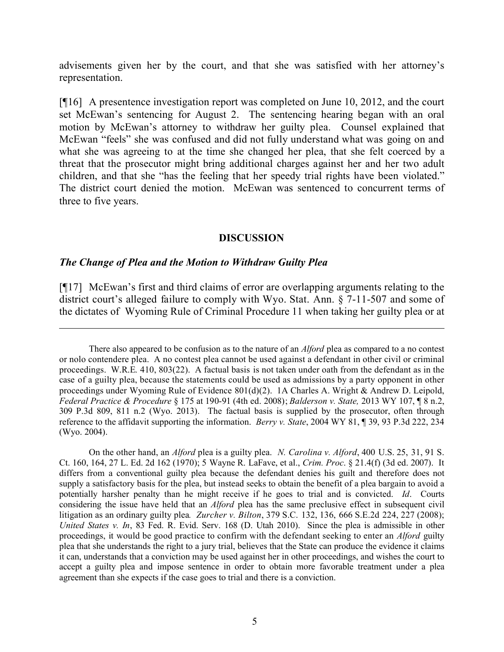advisements given her by the court, and that she was satisfied with her attorney's representation.

[¶16] A presentence investigation report was completed on June 10, 2012, and the court set McEwan's sentencing for August 2. The sentencing hearing began with an oral motion by McEwan's attorney to withdraw her guilty plea. Counsel explained that McEwan "feels" she was confused and did not fully understand what was going on and what she was agreeing to at the time she changed her plea, that she felt coerced by a threat that the prosecutor might bring additional charges against her and her two adult children, and that she "has the feeling that her speedy trial rights have been violated." The district court denied the motion. McEwan was sentenced to concurrent terms of three to five years.

#### **DISCUSSION**

#### *The Change of Plea and the Motion to Withdraw Guilty Plea*

[¶17] McEwan's first and third claims of error are overlapping arguments relating to the district court's alleged failure to comply with Wyo. Stat. Ann. § 7-11-507 and some of the dictates of Wyoming Rule of Criminal Procedure 11 when taking her guilty plea or at

There also appeared to be confusion as to the nature of an *Alford* plea as compared to a no contest or nolo contendere plea. A no contest plea cannot be used against a defendant in other civil or criminal proceedings. W.R.E. 410, 803(22). A factual basis is not taken under oath from the defendant as in the case of a guilty plea, because the statements could be used as admissions by a party opponent in other proceedings under Wyoming Rule of Evidence 801(d)(2). 1A Charles A. Wright & Andrew D. Leipold, *Federal Practice & Procedure* § 175 at 190-91 (4th ed. 2008); *Balderson v. State,* 2013 WY 107, ¶ 8 n.2, 309 P.3d 809, 811 n.2 (Wyo. 2013). The factual basis is supplied by the prosecutor, often through reference to the affidavit supporting the information. *Berry v. State*, 2004 WY 81, ¶ 39, 93 P.3d 222, 234 (Wyo. 2004).

On the other hand, an *Alford* plea is a guilty plea. *N. Carolina v. Alford*, 400 U.S. 25, 31, 91 S. Ct. 160, 164, 27 L. Ed. 2d 162 (1970); 5 Wayne R. LaFave, et al., *Crim. Proc*. § 21.4(f) (3d ed. 2007). It differs from a conventional guilty plea because the defendant denies his guilt and therefore does not supply a satisfactory basis for the plea, but instead seeks to obtain the benefit of a plea bargain to avoid a potentially harsher penalty than he might receive if he goes to trial and is convicted. *Id*. Courts considering the issue have held that an *Alford* plea has the same preclusive effect in subsequent civil litigation as an ordinary guilty plea*. Zurcher v. Bilton*, 379 S.C. 132, 136, 666 S.E.2d 224, 227 (2008); *United States v. In*, 83 Fed. R. Evid. Serv. 168 (D. Utah 2010). Since the plea is admissible in other proceedings, it would be good practice to confirm with the defendant seeking to enter an *Alford* guilty plea that she understands the right to a jury trial, believes that the State can produce the evidence it claims it can, understands that a conviction may be used against her in other proceedings, and wishes the court to accept a guilty plea and impose sentence in order to obtain more favorable treatment under a plea agreement than she expects if the case goes to trial and there is a conviction.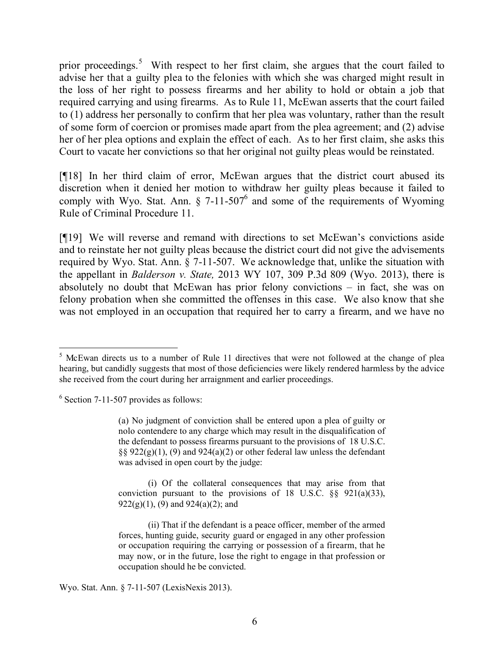prior proceedings.<sup>5</sup> With respect to her first claim, she argues that the court failed to advise her that a guilty plea to the felonies with which she was charged might result in the loss of her right to possess firearms and her ability to hold or obtain a job that required carrying and using firearms. As to Rule 11, McEwan asserts that the court failed to (1) address her personally to confirm that her plea was voluntary, rather than the result of some form of coercion or promises made apart from the plea agreement; and (2) advise her of her plea options and explain the effect of each. As to her first claim, she asks this Court to vacate her convictions so that her original not guilty pleas would be reinstated.

[¶18] In her third claim of error, McEwan argues that the district court abused its discretion when it denied her motion to withdraw her guilty pleas because it failed to comply with Wyo. Stat. Ann.  $\S$  7-11-507<sup>6</sup> and some of the requirements of Wyoming Rule of Criminal Procedure 11.

[¶19] We will reverse and remand with directions to set McEwan's convictions aside and to reinstate her not guilty pleas because the district court did not give the advisements required by Wyo. Stat. Ann. § 7-11-507. We acknowledge that, unlike the situation with the appellant in *Balderson v. State,* 2013 WY 107, 309 P.3d 809 (Wyo. 2013), there is absolutely no doubt that McEwan has prior felony convictions – in fact, she was on felony probation when she committed the offenses in this case. We also know that she was not employed in an occupation that required her to carry a firearm, and we have no

6 Section 7-11-507 provides as follows:

(a) No judgment of conviction shall be entered upon a plea of guilty or nolo contendere to any charge which may result in the disqualification of the defendant to possess firearms pursuant to the provisions of 18 U.S.C.  $\S\S 922(g)(1)$ , (9) and  $924(a)(2)$  or other federal law unless the defendant was advised in open court by the judge:

(i) Of the collateral consequences that may arise from that conviction pursuant to the provisions of 18 U.S.C.  $\S$ § 921(a)(33),  $922(g)(1)$ ,  $(9)$  and  $924(a)(2)$ ; and

(ii) That if the defendant is a peace officer, member of the armed forces, hunting guide, security guard or engaged in any other profession or occupation requiring the carrying or possession of a firearm, that he may now, or in the future, lose the right to engage in that profession or occupation should he be convicted.

Wyo. Stat. Ann. § 7-11-507 (LexisNexis 2013).

 $5$  McEwan directs us to a number of Rule 11 directives that were not followed at the change of plea hearing, but candidly suggests that most of those deficiencies were likely rendered harmless by the advice she received from the court during her arraignment and earlier proceedings.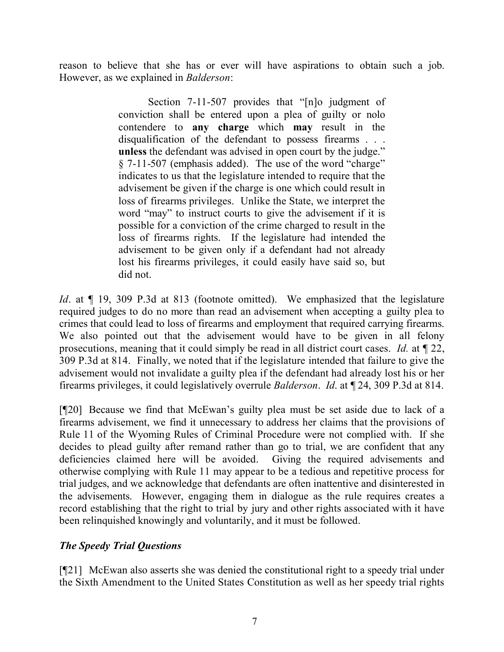reason to believe that she has or ever will have aspirations to obtain such a job. However, as we explained in *Balderson*:

> Section 7-11-507 provides that "[n]o judgment of conviction shall be entered upon a plea of guilty or nolo contendere to **any charge** which **may** result in the disqualification of the defendant to possess firearms . . . **unless** the defendant was advised in open court by the judge." § 7-11-507 (emphasis added). The use of the word "charge" indicates to us that the legislature intended to require that the advisement be given if the charge is one which could result in loss of firearms privileges. Unlike the State, we interpret the word "may" to instruct courts to give the advisement if it is possible for a conviction of the crime charged to result in the loss of firearms rights. If the legislature had intended the advisement to be given only if a defendant had not already lost his firearms privileges, it could easily have said so, but did not.

*Id*. at  $\P$  19, 309 P.3d at 813 (footnote omitted). We emphasized that the legislature required judges to do no more than read an advisement when accepting a guilty plea to crimes that could lead to loss of firearms and employment that required carrying firearms. We also pointed out that the advisement would have to be given in all felony prosecutions, meaning that it could simply be read in all district court cases. *Id.* at ¶ 22, 309 P.3d at 814. Finally, we noted that if the legislature intended that failure to give the advisement would not invalidate a guilty plea if the defendant had already lost his or her firearms privileges, it could legislatively overrule *Balderson*. *Id*. at ¶ 24, 309 P.3d at 814.

[¶20] Because we find that McEwan's guilty plea must be set aside due to lack of a firearms advisement, we find it unnecessary to address her claims that the provisions of Rule 11 of the Wyoming Rules of Criminal Procedure were not complied with. If she decides to plead guilty after remand rather than go to trial, we are confident that any deficiencies claimed here will be avoided. Giving the required advisements and otherwise complying with Rule 11 may appear to be a tedious and repetitive process for trial judges, and we acknowledge that defendants are often inattentive and disinterested in the advisements. However, engaging them in dialogue as the rule requires creates a record establishing that the right to trial by jury and other rights associated with it have been relinquished knowingly and voluntarily, and it must be followed.

# *The Speedy Trial Questions*

[¶21] McEwan also asserts she was denied the constitutional right to a speedy trial under the Sixth Amendment to the United States Constitution as well as her speedy trial rights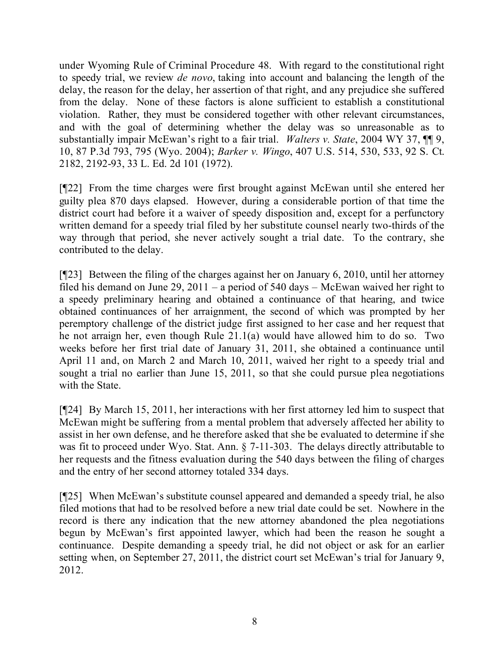under Wyoming Rule of Criminal Procedure 48. With regard to the constitutional right to speedy trial, we review *de novo*, taking into account and balancing the length of the delay, the reason for the delay, her assertion of that right, and any prejudice she suffered from the delay. None of these factors is alone sufficient to establish a constitutional violation. Rather, they must be considered together with other relevant circumstances, and with the goal of determining whether the delay was so unreasonable as to substantially impair McEwan's right to a fair trial. *Walters v. State*, 2004 WY 37, ¶¶ 9, 10, 87 P.3d 793, 795 (Wyo. 2004); *Barker v. Wingo*, 407 U.S. 514, 530, 533, 92 S. Ct. 2182, 2192-93, 33 L. Ed. 2d 101 (1972).

[¶22] From the time charges were first brought against McEwan until she entered her guilty plea 870 days elapsed. However, during a considerable portion of that time the district court had before it a waiver of speedy disposition and, except for a perfunctory written demand for a speedy trial filed by her substitute counsel nearly two-thirds of the way through that period, she never actively sought a trial date. To the contrary, she contributed to the delay.

[¶23] Between the filing of the charges against her on January 6, 2010, until her attorney filed his demand on June 29, 2011 – a period of 540 days – McEwan waived her right to a speedy preliminary hearing and obtained a continuance of that hearing, and twice obtained continuances of her arraignment, the second of which was prompted by her peremptory challenge of the district judge first assigned to her case and her request that he not arraign her, even though Rule 21.1(a) would have allowed him to do so. Two weeks before her first trial date of January 31, 2011, she obtained a continuance until April 11 and, on March 2 and March 10, 2011, waived her right to a speedy trial and sought a trial no earlier than June 15, 2011, so that she could pursue plea negotiations with the State.

[¶24] By March 15, 2011, her interactions with her first attorney led him to suspect that McEwan might be suffering from a mental problem that adversely affected her ability to assist in her own defense, and he therefore asked that she be evaluated to determine if she was fit to proceed under Wyo. Stat. Ann. § 7-11-303. The delays directly attributable to her requests and the fitness evaluation during the 540 days between the filing of charges and the entry of her second attorney totaled 334 days.

[¶25] When McEwan's substitute counsel appeared and demanded a speedy trial, he also filed motions that had to be resolved before a new trial date could be set. Nowhere in the record is there any indication that the new attorney abandoned the plea negotiations begun by McEwan's first appointed lawyer, which had been the reason he sought a continuance. Despite demanding a speedy trial, he did not object or ask for an earlier setting when, on September 27, 2011, the district court set McEwan's trial for January 9, 2012.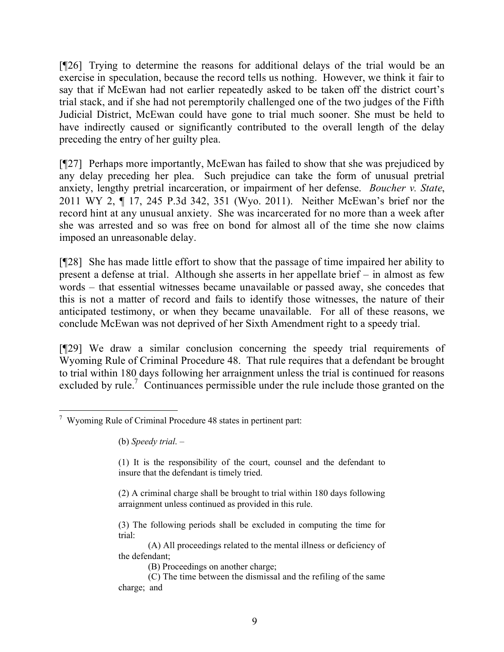[¶26] Trying to determine the reasons for additional delays of the trial would be an exercise in speculation, because the record tells us nothing. However, we think it fair to say that if McEwan had not earlier repeatedly asked to be taken off the district court's trial stack, and if she had not peremptorily challenged one of the two judges of the Fifth Judicial District, McEwan could have gone to trial much sooner. She must be held to have indirectly caused or significantly contributed to the overall length of the delay preceding the entry of her guilty plea.

[¶27] Perhaps more importantly, McEwan has failed to show that she was prejudiced by any delay preceding her plea. Such prejudice can take the form of unusual pretrial anxiety, lengthy pretrial incarceration, or impairment of her defense. *Boucher v. State*, 2011 WY 2, ¶ 17, 245 P.3d 342, 351 (Wyo. 2011). Neither McEwan's brief nor the record hint at any unusual anxiety. She was incarcerated for no more than a week after she was arrested and so was free on bond for almost all of the time she now claims imposed an unreasonable delay.

[¶28] She has made little effort to show that the passage of time impaired her ability to present a defense at trial. Although she asserts in her appellate brief – in almost as few words – that essential witnesses became unavailable or passed away, she concedes that this is not a matter of record and fails to identify those witnesses, the nature of their anticipated testimony, or when they became unavailable. For all of these reasons, we conclude McEwan was not deprived of her Sixth Amendment right to a speedy trial.

[¶29] We draw a similar conclusion concerning the speedy trial requirements of Wyoming Rule of Criminal Procedure 48. That rule requires that a defendant be brought to trial within 180 days following her arraignment unless the trial is continued for reasons excluded by rule.<sup>7</sup> Continuances permissible under the rule include those granted on the

- (3) The following periods shall be excluded in computing the time for trial:
- (A) All proceedings related to the mental illness or deficiency of the defendant;
	- (B) Proceedings on another charge;
- (C) The time between the dismissal and the refiling of the same charge; and

 $\overline{a}$ <sup>7</sup> Wyoming Rule of Criminal Procedure 48 states in pertinent part:

<sup>(</sup>b) *Speedy trial*. –

<sup>(1)</sup> It is the responsibility of the court, counsel and the defendant to insure that the defendant is timely tried.

<sup>(2)</sup> A criminal charge shall be brought to trial within 180 days following arraignment unless continued as provided in this rule.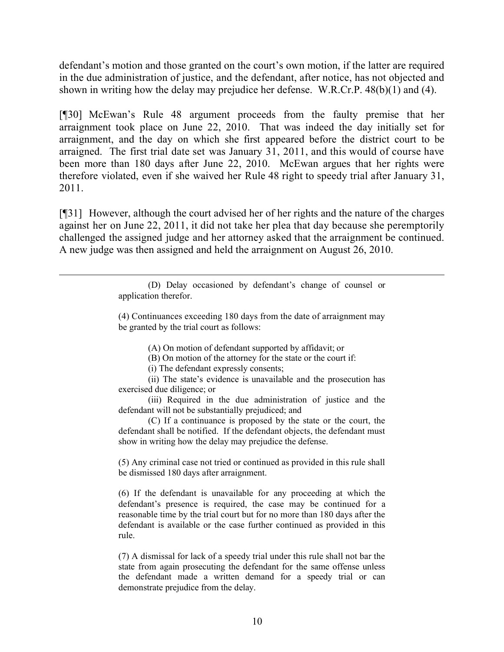defendant's motion and those granted on the court's own motion, if the latter are required in the due administration of justice, and the defendant, after notice, has not objected and shown in writing how the delay may prejudice her defense. W.R.Cr.P. 48(b)(1) and (4).

[¶30] McEwan's Rule 48 argument proceeds from the faulty premise that her arraignment took place on June 22, 2010. That was indeed the day initially set for arraignment, and the day on which she first appeared before the district court to be arraigned. The first trial date set was January 31, 2011, and this would of course have been more than 180 days after June 22, 2010. McEwan argues that her rights were therefore violated, even if she waived her Rule 48 right to speedy trial after January 31, 2011.

[¶31] However, although the court advised her of her rights and the nature of the charges against her on June 22, 2011, it did not take her plea that day because she peremptorily challenged the assigned judge and her attorney asked that the arraignment be continued. A new judge was then assigned and held the arraignment on August 26, 2010.

> (D) Delay occasioned by defendant's change of counsel or application therefor.

> (4) Continuances exceeding 180 days from the date of arraignment may be granted by the trial court as follows:

> > (A) On motion of defendant supported by affidavit; or

(B) On motion of the attorney for the state or the court if:

(i) The defendant expressly consents;

 $\overline{a}$ 

(ii) The state's evidence is unavailable and the prosecution has exercised due diligence; or

(iii) Required in the due administration of justice and the defendant will not be substantially prejudiced; and

(C) If a continuance is proposed by the state or the court, the defendant shall be notified. If the defendant objects, the defendant must show in writing how the delay may prejudice the defense.

(5) Any criminal case not tried or continued as provided in this rule shall be dismissed 180 days after arraignment.

(6) If the defendant is unavailable for any proceeding at which the defendant's presence is required, the case may be continued for a reasonable time by the trial court but for no more than 180 days after the defendant is available or the case further continued as provided in this rule.

(7) A dismissal for lack of a speedy trial under this rule shall not bar the state from again prosecuting the defendant for the same offense unless the defendant made a written demand for a speedy trial or can demonstrate prejudice from the delay.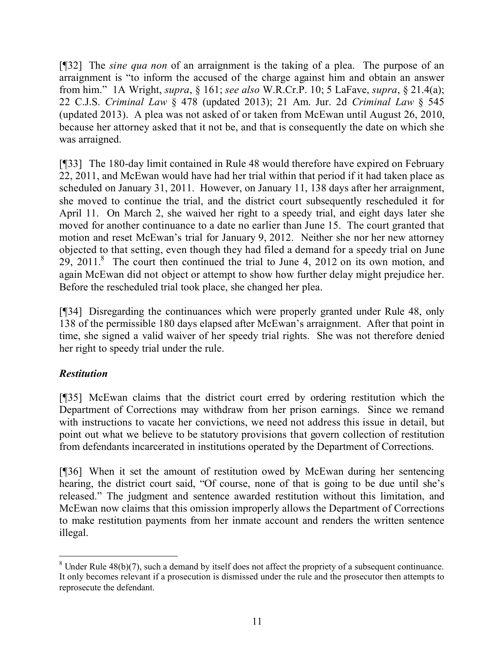[¶32] The *sine qua non* of an arraignment is the taking of a plea. The purpose of an arraignment is "to inform the accused of the charge against him and obtain an answer from him." 1A Wright, *supra*, § 161; *see also* W.R.Cr.P. 10; 5 LaFave, *supra*, § 21.4(a); 22 C.J.S. *Criminal Law* § 478 (updated 2013); 21 Am. Jur. 2d *Criminal Law* § 545 (updated 2013). A plea was not asked of or taken from McEwan until August 26, 2010, because her attorney asked that it not be, and that is consequently the date on which she was arraigned.

[¶33] The 180-day limit contained in Rule 48 would therefore have expired on February 22, 2011, and McEwan would have had her trial within that period if it had taken place as scheduled on January 31, 2011. However, on January 11, 138 days after her arraignment, she moved to continue the trial, and the district court subsequently rescheduled it for April 11. On March 2, she waived her right to a speedy trial, and eight days later she moved for another continuance to a date no earlier than June 15. The court granted that motion and reset McEwan's trial for January 9, 2012. Neither she nor her new attorney objected to that setting, even though they had filed a demand for a speedy trial on June 29, 2011.<sup>8</sup> The court then continued the trial to June 4, 2012 on its own motion, and again McEwan did not object or attempt to show how further delay might prejudice her. Before the rescheduled trial took place, she changed her plea.

[¶34] Disregarding the continuances which were properly granted under Rule 48, only 138 of the permissible 180 days elapsed after McEwan's arraignment. After that point in time, she signed a valid waiver of her speedy trial rights. She was not therefore denied her right to speedy trial under the rule.

# *Restitution*

[¶35] McEwan claims that the district court erred by ordering restitution which the Department of Corrections may withdraw from her prison earnings. Since we remand with instructions to vacate her convictions, we need not address this issue in detail, but point out what we believe to be statutory provisions that govern collection of restitution from defendants incarcerated in institutions operated by the Department of Corrections.

[¶36] When it set the amount of restitution owed by McEwan during her sentencing hearing, the district court said, "Of course, none of that is going to be due until she's released." The judgment and sentence awarded restitution without this limitation, and McEwan now claims that this omission improperly allows the Department of Corrections to make restitution payments from her inmate account and renders the written sentence illegal.

  $8$  Under Rule 48(b)(7), such a demand by itself does not affect the propriety of a subsequent continuance. It only becomes relevant if a prosecution is dismissed under the rule and the prosecutor then attempts to reprosecute the defendant.